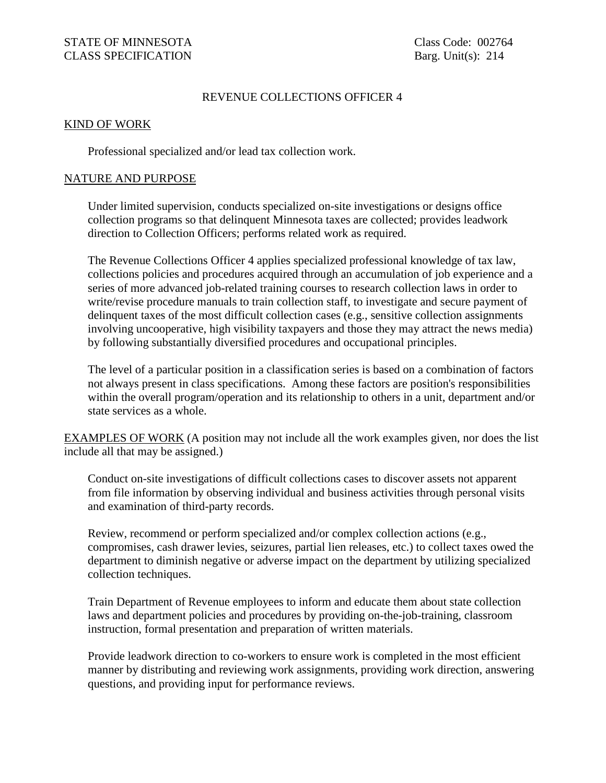### REVENUE COLLECTIONS OFFICER 4

#### KIND OF WORK

Professional specialized and/or lead tax collection work.

#### NATURE AND PURPOSE

Under limited supervision, conducts specialized on-site investigations or designs office collection programs so that delinquent Minnesota taxes are collected; provides leadwork direction to Collection Officers; performs related work as required.

The Revenue Collections Officer 4 applies specialized professional knowledge of tax law, collections policies and procedures acquired through an accumulation of job experience and a series of more advanced job-related training courses to research collection laws in order to write/revise procedure manuals to train collection staff, to investigate and secure payment of delinquent taxes of the most difficult collection cases (e.g., sensitive collection assignments involving uncooperative, high visibility taxpayers and those they may attract the news media) by following substantially diversified procedures and occupational principles.

The level of a particular position in a classification series is based on a combination of factors not always present in class specifications. Among these factors are position's responsibilities within the overall program/operation and its relationship to others in a unit, department and/or state services as a whole.

EXAMPLES OF WORK (A position may not include all the work examples given, nor does the list include all that may be assigned.)

Conduct on-site investigations of difficult collections cases to discover assets not apparent from file information by observing individual and business activities through personal visits and examination of third-party records.

Review, recommend or perform specialized and/or complex collection actions (e.g., compromises, cash drawer levies, seizures, partial lien releases, etc.) to collect taxes owed the department to diminish negative or adverse impact on the department by utilizing specialized collection techniques.

Train Department of Revenue employees to inform and educate them about state collection laws and department policies and procedures by providing on-the-job-training, classroom instruction, formal presentation and preparation of written materials.

Provide leadwork direction to co-workers to ensure work is completed in the most efficient manner by distributing and reviewing work assignments, providing work direction, answering questions, and providing input for performance reviews.